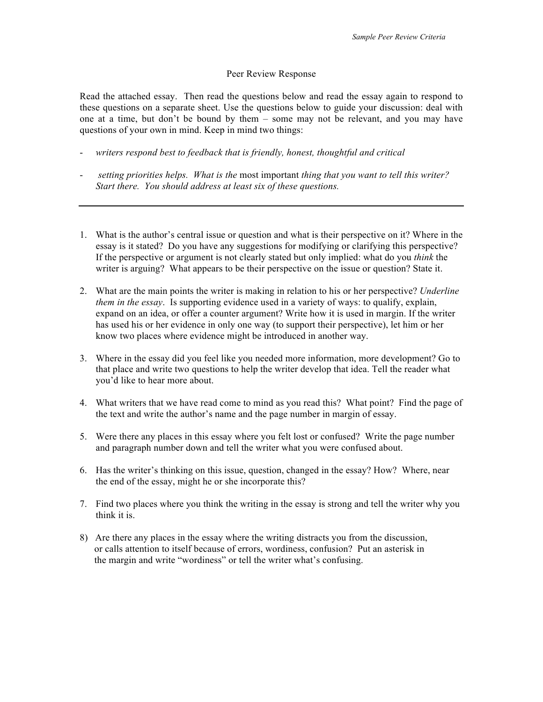## Peer Review Response

Read the attached essay. Then read the questions below and read the essay again to respond to these questions on a separate sheet. Use the questions below to guide your discussion: deal with one at a time, but don't be bound by them – some may not be relevant, and you may have questions of your own in mind. Keep in mind two things:

- *writers respond best to feedback that is friendly, honest, thoughtful and critical*
- *setting priorities helps. What is the* most important *thing that you want to tell this writer? Start there. You should address at least six of these questions.*
- 1. What is the author's central issue or question and what is their perspective on it? Where in the essay is it stated? Do you have any suggestions for modifying or clarifying this perspective? If the perspective or argument is not clearly stated but only implied: what do you *think* the writer is arguing? What appears to be their perspective on the issue or question? State it.
- 2. What are the main points the writer is making in relation to his or her perspective? *Underline them in the essay*. Is supporting evidence used in a variety of ways: to qualify, explain, expand on an idea, or offer a counter argument? Write how it is used in margin. If the writer has used his or her evidence in only one way (to support their perspective), let him or her know two places where evidence might be introduced in another way.
- 3. Where in the essay did you feel like you needed more information, more development? Go to that place and write two questions to help the writer develop that idea. Tell the reader what you'd like to hear more about.
- 4. What writers that we have read come to mind as you read this? What point? Find the page of the text and write the author's name and the page number in margin of essay.
- 5. Were there any places in this essay where you felt lost or confused? Write the page number and paragraph number down and tell the writer what you were confused about.
- 6. Has the writer's thinking on this issue, question, changed in the essay? How? Where, near the end of the essay, might he or she incorporate this?
- 7. Find two places where you think the writing in the essay is strong and tell the writer why you think it is.
- 8) Are there any places in the essay where the writing distracts you from the discussion, or calls attention to itself because of errors, wordiness, confusion? Put an asterisk in the margin and write "wordiness" or tell the writer what's confusing.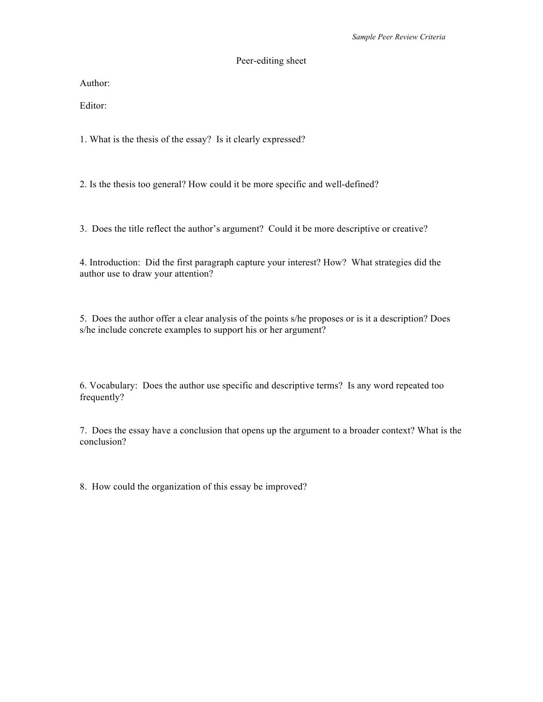## Peer-editing sheet

Author:

Editor:

1. What is the thesis of the essay? Is it clearly expressed?

2. Is the thesis too general? How could it be more specific and well-defined?

3. Does the title reflect the author's argument? Could it be more descriptive or creative?

4. Introduction: Did the first paragraph capture your interest? How? What strategies did the author use to draw your attention?

5. Does the author offer a clear analysis of the points s/he proposes or is it a description? Does s/he include concrete examples to support his or her argument?

6. Vocabulary: Does the author use specific and descriptive terms? Is any word repeated too frequently?

7. Does the essay have a conclusion that opens up the argument to a broader context? What is the conclusion?

8. How could the organization of this essay be improved?